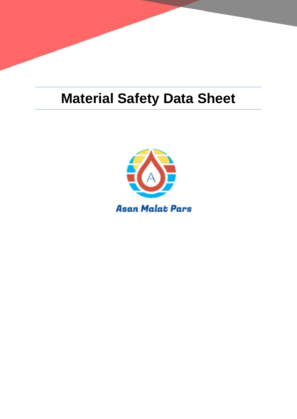# **Material Safety Data Sheet**

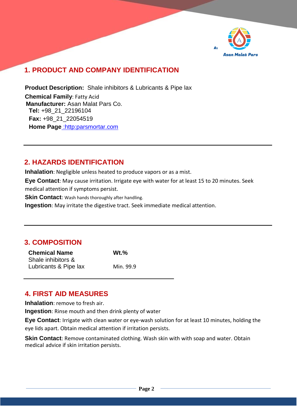

# **1. PRODUCT AND COMPANY IDENTIFICATION**

**Product Description:** Shale inhibitors & Lubricants & Pipe lax **Chemical Family**: Fatty Acid **Manufacturer:** Asan Malat Pars Co. **Tel:** +98\_21\_22196104 **Fax:** +98\_21\_22054519 **Home Page** :http:parsmortar.com

#### **2. HAZARDS IDENTIFICATION**

**Inhalation**: Negligible unless heated to produce vapors or as a mist.

**Eye Contact**: May cause irritation. Irrigate eye with water for at least 15 to 20 minutes. Seek medical attention if symptoms persist.

**Skin Contact:** Wash hands thoroughly after handling.

**Ingestion**: May irritate the digestive tract. Seek immediate medical attention.

# **3. COMPOSITION**

| <b>Chemical Name</b>  | $Wt.\%$   |
|-----------------------|-----------|
| Shale inhibitors &    |           |
| Lubricants & Pipe lax | Min. 99.9 |

#### **4. FIRST AID MEASURES**

**Inhalation**: remove to fresh air.

**Ingestion**: Rinse mouth and then drink plenty of water

**Eye Contact**: Irrigate with clean water or eye-wash solution for at least 10 minutes, holding the eye lids apart. Obtain medical attention if irritation persists.

**Skin Contact**: Remove contaminated clothing. Wash skin with with soap and water. Obtain medical advice if skin irritation persists.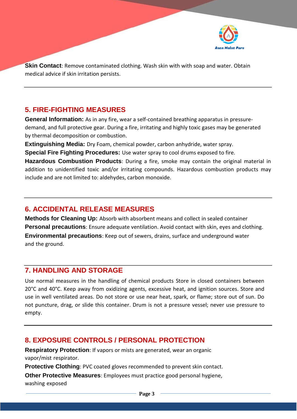

**Skin Contact**: Remove contaminated clothing. Wash skin with with soap and water. Obtain medical advice if skin irritation persists.

#### **5. FIRE-FIGHTING MEASURES**

**General Information:** As in any fire, wear a self-contained breathing apparatus in pressuredemand, and full protective gear. During a fire, irritating and highly toxic gases may be generated by thermal decomposition or combustion.

**Extinguishing Media:** Dry Foam, chemical powder, carbon anhydride, water spray.

**Special Fire Fighting Procedures:** Use water spray to cool drums exposed to fire.

**Hazardous Combustion Products**: During a fire, smoke may contain the original material in addition to unidentified toxic and/or irritating compounds. Hazardous combustion products may include and are not limited to: aldehydes, carbon monoxide.

#### **6. ACCIDENTAL RELEASE MEASURES**

**Methods for Cleaning Up:** Absorb with absorbent means and collect in sealed container **Personal precautions**: Ensure adequate ventilation. Avoid contact with skin, eyes and clothing. **Environmental precautions**: Keep out of sewers, drains, surface and underground water and the ground.

#### **7. HANDLING AND STORAGE**

Use normal measures in the handling of chemical products Store in closed containers between 20°C and 40°C. Keep away from oxidizing agents, excessive heat, and ignition sources. Store and use in well ventilated areas. Do not store or use near heat, spark, or flame; store out of sun. Do not puncture, drag, or slide this container. Drum is not a pressure vessel; never use pressure to empty.

#### **8. EXPOSURE CONTROLS / PERSONAL PROTECTION**

**Respiratory Protection**: If vapors or mists are generated, wear an organic vapor/mist respirator.

**Protective Clothing**: PVC coated gloves recommended to prevent skin contact.

**Other Protective Measures**: Employees must practice good personal hygiene, washing exposed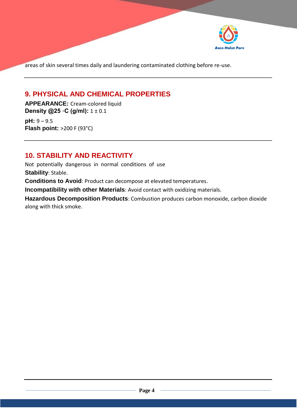

areas of skin several times daily and laundering contaminated clothing before re-use.

#### **9. PHYSICAL AND CHEMICAL PROPERTIES**

**APPEARANCE:** Cream-colored liquid **Density @25 ◦C (g/ml):** 1 ± 0.1

**pH:** 9 – 9.5 **Flash point:** >200 F (93°C)

#### **10. STABILITY AND REACTIVITY**

Not potentially dangerous in normal conditions of use **Stability**: Stable. **Conditions to Avoid**: Product can decompose at elevated temperatures.

**Incompatibility with other Materials**: Avoid contact with oxidizing materials.

**Hazardous Decomposition Products**: Combustion produces carbon monoxide, carbon dioxide along with thick smoke.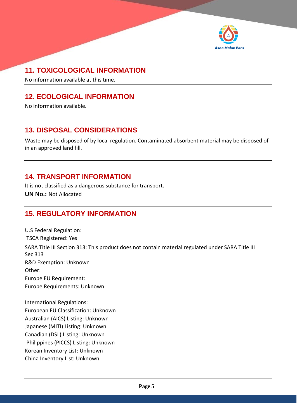

# **11. TOXICOLOGICAL INFORMATION**

No information available at this time.

### **12. ECOLOGICAL INFORMATION**

No information available.

#### **13. DISPOSAL CONSIDERATIONS**

Waste may be disposed of by local regulation. Contaminated absorbent material may be disposed of in an approved land fill.

#### **14. TRANSPORT INFORMATION**

It is not classified as a dangerous substance for transport. **UN No.:** Not Allocated

#### **15. REGULATORY INFORMATION**

U.S Federal Regulation: TSCA Registered: Yes SARA Title III Section 313: This product does not contain material regulated under SARA Title III Sec 313 R&D Exemption: Unknown Other: Europe EU Requirement: Europe Requirements: Unknown

International Regulations: European EU Classification: Unknown Australian (AICS) Listing: Unknown Japanese (MITI) Listing: Unknown Canadian (DSL) Listing: Unknown Philippines (PICCS) Listing: Unknown Korean Inventory List: Unknown China Inventory List: Unknown